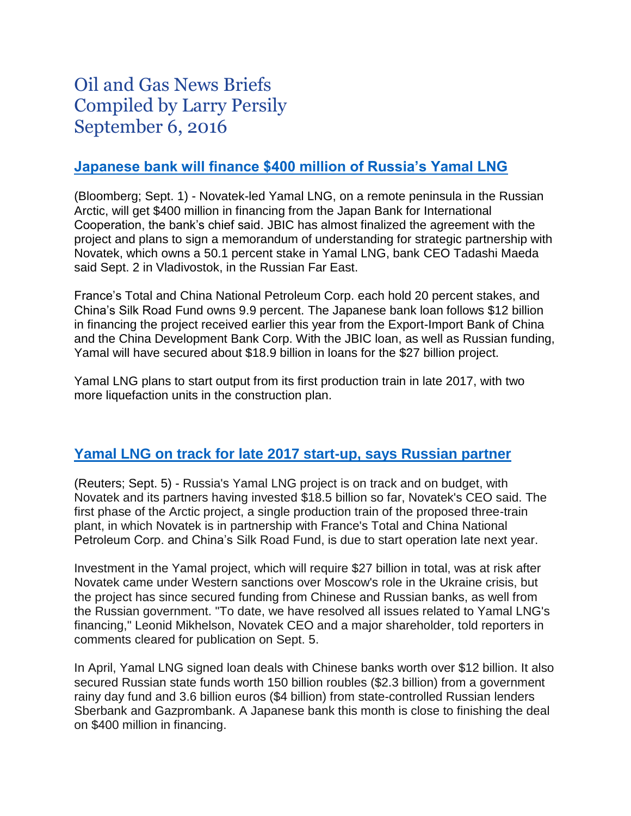# Oil and Gas News Briefs Compiled by Larry Persily September 6, 2016

## **[Japanese bank will finance \\$400 million of Russia's Yamal LNG](http://www.bloomberg.com/news/articles/2016-09-02/japan-makes-arctic-gas-move-with-400-million-yamal-lng-loan)**

(Bloomberg; Sept. 1) - Novatek-led Yamal LNG, on a remote peninsula in the Russian Arctic, will get \$400 million in financing from the Japan Bank for International Cooperation, the bank's chief said. JBIC has almost finalized the agreement with the project and plans to sign a memorandum of understanding for strategic partnership with Novatek, which owns a 50.1 percent stake in Yamal LNG, bank CEO Tadashi Maeda said Sept. 2 in Vladivostok, in the Russian Far East.

France's Total and China National Petroleum Corp. each hold 20 percent stakes, and China's Silk Road Fund owns 9.9 percent. The Japanese bank loan follows \$12 billion in financing the project received earlier this year from the Export-Import Bank of China and the China Development Bank Corp. With the JBIC loan, as well as Russian funding, Yamal will have secured about \$18.9 billion in loans for the \$27 billion project.

Yamal LNG plans to start output from its first production train in late 2017, with two more liquefaction units in the construction plan.

## **[Yamal LNG on track for late 2017 start-up, says Russian partner](http://uk.reuters.com/article/russia-vladivostok-forum-novatek-idUKL8N1BH1PE)**

(Reuters; Sept. 5) - Russia's Yamal LNG project is on track and on budget, with Novatek and its partners having invested \$18.5 billion so far, Novatek's CEO said. The first phase of the Arctic project, a single production train of the proposed three-train plant, in which Novatek is in partnership with France's Total and China National Petroleum Corp. and China's Silk Road Fund, is due to start operation late next year.

Investment in the Yamal project, which will require \$27 billion in total, was at risk after Novatek came under Western sanctions over Moscow's role in the Ukraine crisis, but the project has since secured funding from Chinese and Russian banks, as well from the Russian government. "To date, we have resolved all issues related to Yamal LNG's financing," Leonid Mikhelson, Novatek CEO and a major shareholder, told reporters in comments cleared for publication on Sept. 5.

In April, Yamal LNG signed loan deals with Chinese banks worth over \$12 billion. It also secured Russian state funds worth 150 billion roubles (\$2.3 billion) from a government rainy day fund and 3.6 billion euros (\$4 billion) from state-controlled Russian lenders Sberbank and Gazprombank. A Japanese bank this month is close to finishing the deal on \$400 million in financing.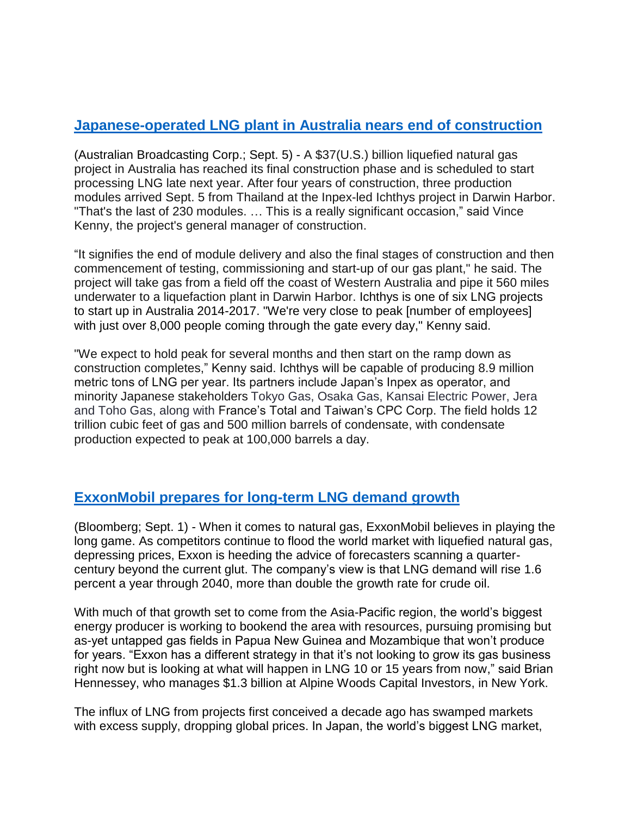# **[Japanese-operated LNG plant in Australia nears end of construction](http://www.abc.net.au/news/2016-09-05/end-in-sight-for-construction-of-giant-inpex-gas-project/7815844)**

(Australian Broadcasting Corp.; Sept. 5) - A \$37(U.S.) billion liquefied natural gas project in Australia has reached its final construction phase and is scheduled to start processing LNG late next year. After four years of construction, three production modules arrived Sept. 5 from Thailand at the Inpex-led Ichthys project in Darwin Harbor. "That's the last of 230 modules. … This is a really significant occasion," said Vince Kenny, the project's general manager of construction.

"It signifies the end of module delivery and also the final stages of construction and then commencement of testing, commissioning and start-up of our gas plant," he said. The project will take gas from a field off the coast of Western Australia and pipe it 560 miles underwater to a liquefaction plant in Darwin Harbor. Ichthys is one of six LNG projects to start up in Australia 2014-2017. "We're very close to peak [number of employees] with just over 8,000 people coming through the gate every day," Kenny said.

"We expect to hold peak for several months and then start on the ramp down as construction completes," Kenny said. Ichthys will be capable of producing 8.9 million metric tons of LNG per year. Its partners include Japan's Inpex as operator, and minority Japanese stakeholders Tokyo Gas, Osaka Gas, Kansai Electric Power, Jera and Toho Gas, along with France's Total and Taiwan's CPC Corp. The field holds 12 trillion cubic feet of gas and 500 million barrels of condensate, with condensate production expected to peak at 100,000 barrels a day.

## **ExxonMobil [prepares for long-term LNG demand growth](http://www.bloomberg.com/news/articles/2016-09-01/exxon-ignores-near-term-glut-to-play-long-game-on-liquefied-gas)**

(Bloomberg; Sept. 1) - When it comes to natural gas, ExxonMobil believes in playing the long game. As competitors continue to flood the world market with liquefied natural gas, depressing prices, Exxon is heeding the advice of forecasters scanning a quartercentury beyond the current glut. The company's view is that LNG demand will rise 1.6 percent a year through 2040, more than double the growth rate for crude oil.

With much of that growth set to come from the Asia-Pacific region, the world's biggest energy producer is working to bookend the area with resources, pursuing promising but as-yet untapped gas fields in Papua New Guinea and Mozambique that won't produce for years. "Exxon has a different strategy in that it's not looking to grow its gas business right now but is looking at what will happen in LNG 10 or 15 years from now," said Brian Hennessey, who manages \$1.3 billion at Alpine Woods Capital Investors, in New York.

The influx of LNG from projects first conceived a decade ago has swamped markets with excess supply, dropping global prices. In Japan, the world's biggest LNG market,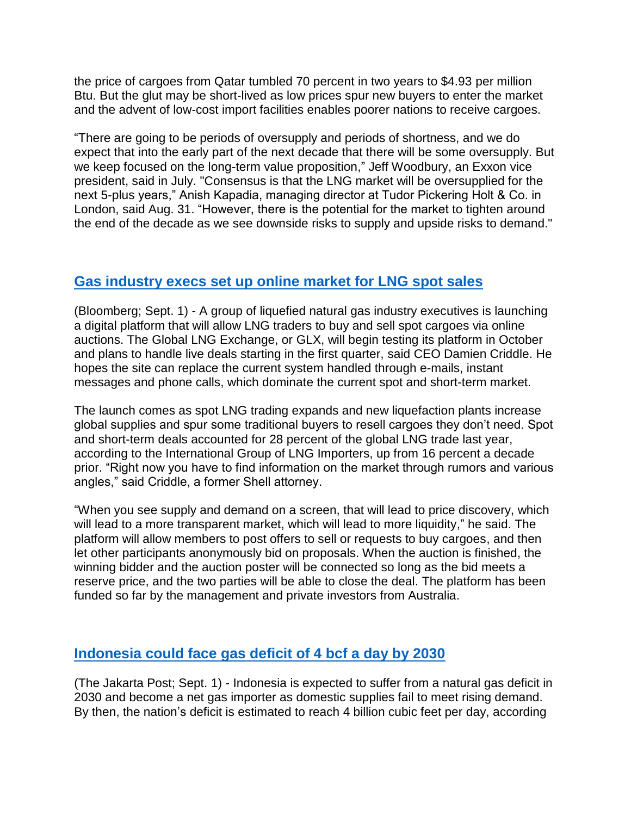the price of cargoes from Qatar tumbled 70 percent in two years to \$4.93 per million Btu. But the glut may be short-lived as low prices spur new buyers to enter the market and the advent of low-cost import facilities enables poorer nations to receive cargoes.

"There are going to be periods of oversupply and periods of shortness, and we do expect that into the early part of the next decade that there will be some oversupply. But we keep focused on the long-term value proposition," Jeff Woodbury, an Exxon vice president, said in July. "Consensus is that the LNG market will be oversupplied for the next 5-plus years," Anish Kapadia, managing director at Tudor Pickering Holt & Co. in London, said Aug. 31. "However, there is the potential for the market to tighten around the end of the decade as we see downside risks to supply and upside risks to demand."

#### **[Gas industry execs set up online market for LNG spot sales](http://www.bloomberg.com/news/articles/2016-09-01/lng-trading-meets-ebay-as-startup-launches-online-auction-site)**

(Bloomberg; Sept. 1) - A group of liquefied natural gas industry executives is launching a digital platform that will allow LNG traders to buy and sell spot cargoes via online auctions. The Global LNG Exchange, or GLX, will begin testing its platform in October and plans to handle live deals starting in the first quarter, said CEO Damien Criddle. He hopes the site can replace the current system handled through e-mails, instant messages and phone calls, which dominate the current spot and short-term market.

The launch comes as spot LNG trading expands and new liquefaction plants increase global supplies and spur some traditional buyers to resell cargoes they don't need. Spot and short-term deals accounted for 28 percent of the global LNG trade last year, according to the International Group of LNG Importers, up from 16 percent a decade prior. "Right now you have to find information on the market through rumors and various angles," said Criddle, a former Shell attorney.

"When you see supply and demand on a screen, that will lead to price discovery, which will lead to a more transparent market, which will lead to more liquidity," he said. The platform will allow members to post offers to sell or requests to buy cargoes, and then let other participants anonymously bid on proposals. When the auction is finished, the winning bidder and the auction poster will be connected so long as the bid meets a reserve price, and the two parties will be able to close the deal. The platform has been funded so far by the management and private investors from Australia.

#### **[Indonesia could face gas deficit of 4 bcf a day by 2030](http://www.thejakartapost.com/news/2016/09/01/ri-projected-become-net-gas-importer-2030.html)**

(The Jakarta Post; Sept. 1) - Indonesia is expected to suffer from a natural gas deficit in 2030 and become a net gas importer as domestic supplies fail to meet rising demand. By then, the nation's deficit is estimated to reach 4 billion cubic feet per day, according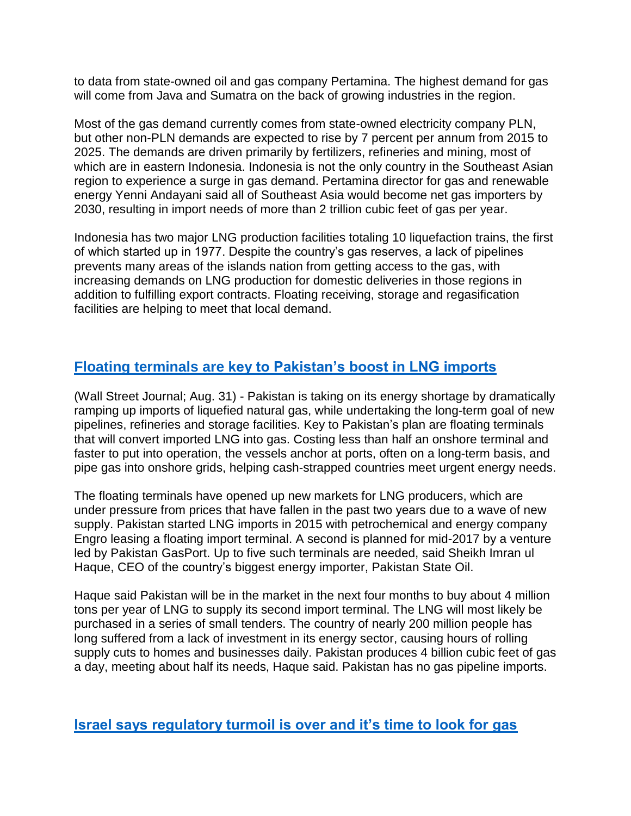to data from state-owned oil and gas company Pertamina. The highest demand for gas will come from Java and Sumatra on the back of growing industries in the region.

Most of the gas demand currently comes from state-owned electricity company PLN, but other non-PLN demands are expected to rise by 7 percent per annum from 2015 to 2025. The demands are driven primarily by fertilizers, refineries and mining, most of which are in eastern Indonesia. Indonesia is not the only country in the Southeast Asian region to experience a surge in gas demand. Pertamina director for gas and renewable energy Yenni Andayani said all of Southeast Asia would become net gas importers by 2030, resulting in import needs of more than 2 trillion cubic feet of gas per year.

Indonesia has two major LNG production facilities totaling 10 liquefaction trains, the first of which started up in 1977. Despite the country's gas reserves, a lack of pipelines prevents many areas of the islands nation from getting access to the gas, with increasing demands on LNG production for domestic deliveries in those regions in addition to fulfilling export contracts. Floating receiving, storage and regasification facilities are helping to meet that local demand.

# **[Floating terminals are key to Pakistan's boost in LNG imports](http://www.wsj.com/articles/pakistan-battles-energy-shortage-with-floating-liquefied-natural-gas-terminals-1472650249)**

(Wall Street Journal; Aug. 31) - Pakistan is taking on its energy shortage by dramatically ramping up imports of liquefied natural gas, while undertaking the long-term goal of new pipelines, refineries and storage facilities. Key to Pakistan's plan are floating terminals that will convert imported LNG into gas. Costing less than half an onshore terminal and faster to put into operation, the vessels anchor at ports, often on a long-term basis, and pipe gas into onshore grids, helping cash-strapped countries meet urgent energy needs.

The floating terminals have opened up new markets for LNG producers, which are under pressure from prices that have fallen in the past two years due to a wave of new supply. Pakistan started LNG imports in 2015 with petrochemical and energy company Engro leasing a floating import terminal. A second is planned for mid-2017 by a venture led by Pakistan GasPort. Up to five such terminals are needed, said Sheikh Imran ul Haque, CEO of the country's biggest energy importer, Pakistan State Oil.

Haque said Pakistan will be in the market in the next four months to buy about 4 million tons per year of LNG to supply its second import terminal. The LNG will most likely be purchased in a series of small tenders. The country of nearly 200 million people has long suffered from a lack of investment in its energy sector, causing hours of rolling supply cuts to homes and businesses daily. Pakistan produces 4 billion cubic feet of gas a day, meeting about half its needs, Haque said. Pakistan has no gas pipeline imports.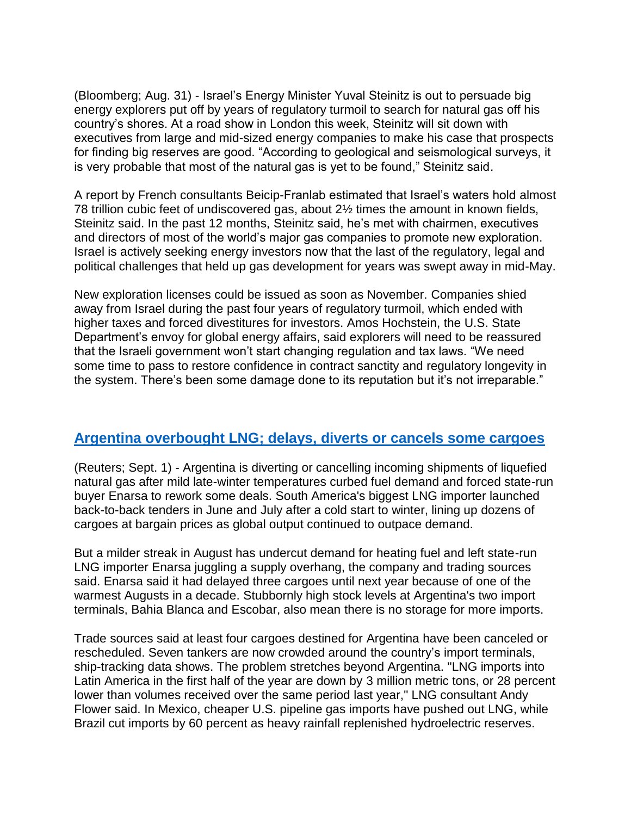(Bloomberg; Aug. 31) - Israel's Energy Minister Yuval Steinitz is out to persuade big energy explorers put off by years of regulatory turmoil to search for natural gas off his country's shores. At a road show in London this week, Steinitz will sit down with executives from large and mid-sized energy companies to make his case that prospects for finding big reserves are good. "According to geological and seismological surveys, it is very probable that most of the natural gas is yet to be found," Steinitz said.

A report by French consultants Beicip-Franlab estimated that Israel's waters hold almost 78 trillion cubic feet of undiscovered gas, about 2½ times the amount in known fields, Steinitz said. In the past 12 months, Steinitz said, he's met with chairmen, executives and directors of most of the world's major gas companies to promote new exploration. Israel is actively seeking energy investors now that the last of the regulatory, legal and political challenges that held up gas development for years was swept away in mid-May.

New exploration licenses could be issued as soon as November. Companies shied away from Israel during the past four years of regulatory turmoil, which ended with higher taxes and forced divestitures for investors. Amos Hochstein, the U.S. State Department's envoy for global energy affairs, said explorers will need to be reassured that the Israeli government won't start changing regulation and tax laws. "We need some time to pass to restore confidence in contract sanctity and regulatory longevity in the system. There's been some damage done to its reputation but it's not irreparable."

#### **[Argentina overbought LNG; delays, diverts or cancels some cargoes](http://www.reuters.com/article/argentina-lng-idUSL8N1BD58B)**

(Reuters; Sept. 1) - Argentina is diverting or cancelling incoming shipments of liquefied natural gas after mild late-winter temperatures curbed fuel demand and forced state-run buyer Enarsa to rework some deals. South America's biggest LNG importer launched back-to-back tenders in June and July after a cold start to winter, lining up dozens of cargoes at bargain prices as global output continued to outpace demand.

But a milder streak in August has undercut demand for heating fuel and left state-run LNG importer Enarsa juggling a supply overhang, the company and trading sources said. Enarsa said it had delayed three cargoes until next year because of one of the warmest Augusts in a decade. Stubbornly high stock levels at Argentina's two import terminals, Bahia Blanca and Escobar, also mean there is no storage for more imports.

Trade sources said at least four cargoes destined for Argentina have been canceled or rescheduled. Seven tankers are now crowded around the country's import terminals, ship-tracking data shows. The problem stretches beyond Argentina. "LNG imports into Latin America in the first half of the year are down by 3 million metric tons, or 28 percent lower than volumes received over the same period last year," LNG consultant Andy Flower said. In Mexico, cheaper U.S. pipeline gas imports have pushed out LNG, while Brazil cut imports by 60 percent as heavy rainfall replenished hydroelectric reserves.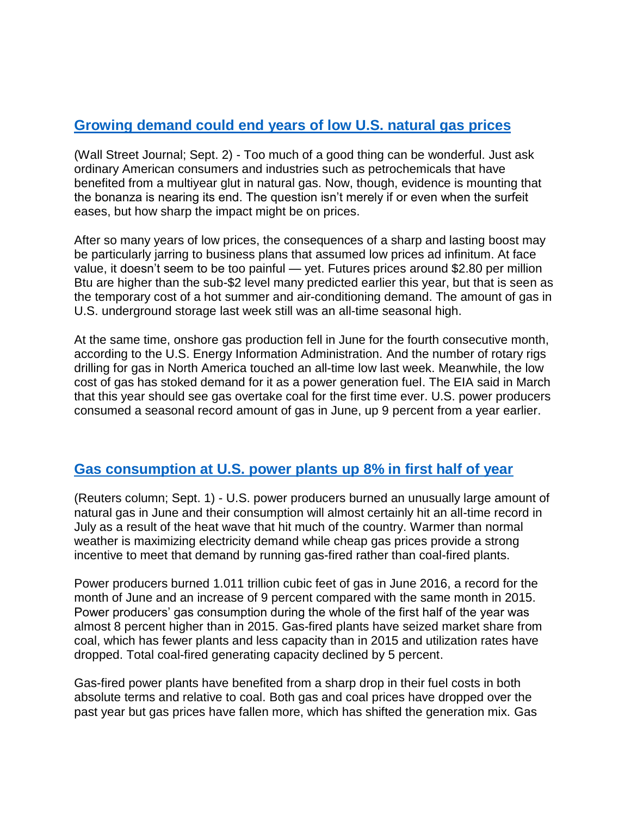## **[Growing demand could end years of low U.S. natural gas prices](http://www.wsj.com/articles/end-in-sight-for-u-s-natural-gas-glut-1472830203)**

(Wall Street Journal; Sept. 2) - Too much of a good thing can be wonderful. Just ask ordinary American consumers and industries such as petrochemicals that have benefited from a multiyear glut in natural gas. Now, though, evidence is mounting that the bonanza is nearing its end. The question isn't merely if or even when the surfeit eases, but how sharp the impact might be on prices.

After so many years of low prices, the consequences of a sharp and lasting boost may be particularly jarring to business plans that assumed low prices ad infinitum. At face value, it doesn't seem to be too painful — yet. Futures prices around \$2.80 per million Btu are higher than the sub-\$2 level many predicted earlier this year, but that is seen as the temporary cost of a hot summer and air-conditioning demand. The amount of gas in U.S. underground storage last week still was an all-time seasonal high.

At the same time, onshore gas production fell in June for the fourth consecutive month, according to the U.S. Energy Information Administration. And the number of rotary rigs drilling for gas in North America touched an all-time low last week. Meanwhile, the low cost of gas has stoked demand for it as a power generation fuel. The EIA said in March that this year should see gas overtake coal for the first time ever. U.S. power producers consumed a seasonal record amount of gas in June, up 9 percent from a year earlier.

#### **[Gas consumption at U.S. power plants up 8% in first half of year](http://www.reuters.com/article/us-usa-natgas-kemp-idUSKCN117428)**

(Reuters column; Sept. 1) - U.S. power producers burned an unusually large amount of natural gas in June and their consumption will almost certainly hit an all-time record in July as a result of the heat wave that hit much of the country. Warmer than normal weather is maximizing electricity demand while cheap gas prices provide a strong incentive to meet that demand by running gas-fired rather than coal-fired plants.

Power producers burned 1.011 trillion cubic feet of gas in June 2016, a record for the month of June and an increase of 9 percent compared with the same month in 2015. Power producers' gas consumption during the whole of the first half of the year was almost 8 percent higher than in 2015. Gas-fired plants have seized market share from coal, which has fewer plants and less capacity than in 2015 and utilization rates have dropped. Total coal-fired generating capacity declined by 5 percent.

Gas-fired power plants have benefited from a sharp drop in their fuel costs in both absolute terms and relative to coal. Both gas and coal prices have dropped over the past year but gas prices have fallen more, which has shifted the generation mix. Gas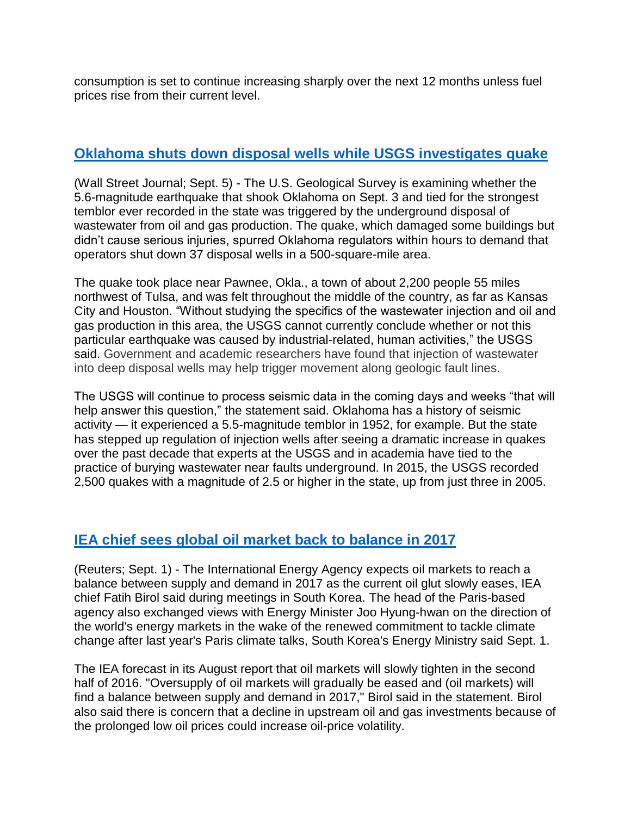consumption is set to continue increasing sharply over the next 12 months unless fuel prices rise from their current level.

#### **[Oklahoma shuts down disposal wells while USGS investigates](http://www.wsj.com/articles/disposal-wells-link-to-oklahoma-earthquake-scrutinized-1473102739) quake**

(Wall Street Journal; Sept. 5) - The U.S. Geological Survey is examining whether the 5.6-magnitude earthquake that shook Oklahoma on Sept. 3 and tied for the strongest temblor ever recorded in the state was triggered by the underground disposal of wastewater from oil and gas production. The quake, which damaged some buildings but didn't cause serious injuries, spurred Oklahoma regulators within hours to demand that operators shut down 37 disposal wells in a 500-square-mile area.

The quake took place near Pawnee, Okla., a town of about 2,200 people 55 miles northwest of Tulsa, and was felt throughout the middle of the country, as far as Kansas City and Houston. "Without studying the specifics of the wastewater injection and oil and gas production in this area, the USGS cannot currently conclude whether or not this particular earthquake was caused by industrial-related, human activities," the USGS said. Government and academic researchers have found that injection of wastewater into deep disposal wells may help trigger movement along geologic fault lines.

The USGS will continue to process seismic data in the coming days and weeks "that will help answer this question," the statement said. Oklahoma has a history of seismic activity — it experienced a 5.5-magnitude temblor in 1952, for example. But the state has stepped up regulation of injection wells after seeing a dramatic increase in quakes over the past decade that experts at the USGS and in academia have tied to the practice of burying wastewater near faults underground. In 2015, the USGS recorded 2,500 quakes with a magnitude of 2.5 or higher in the state, up from just three in 2005.

## **[IEA chief sees global oil market back to balance in 2017](http://www.reuters.com/article/oil-outlook-iea-idUSL3N1BD3SK)**

(Reuters; Sept. 1) - The International Energy Agency expects oil markets to reach a balance between supply and demand in 2017 as the current oil glut slowly eases, IEA chief Fatih Birol said during meetings in South Korea. The head of the Paris-based agency also exchanged views with Energy Minister Joo Hyung-hwan on the direction of the world's energy markets in the wake of the renewed commitment to tackle climate change after last year's Paris climate talks, South Korea's Energy Ministry said Sept. 1.

The IEA forecast in its August report that oil markets will slowly tighten in the second half of 2016. "Oversupply of oil markets will gradually be eased and (oil markets) will find a balance between supply and demand in 2017," Birol said in the statement. Birol also said there is concern that a decline in upstream oil and gas investments because of the prolonged low oil prices could increase oil-price volatility.